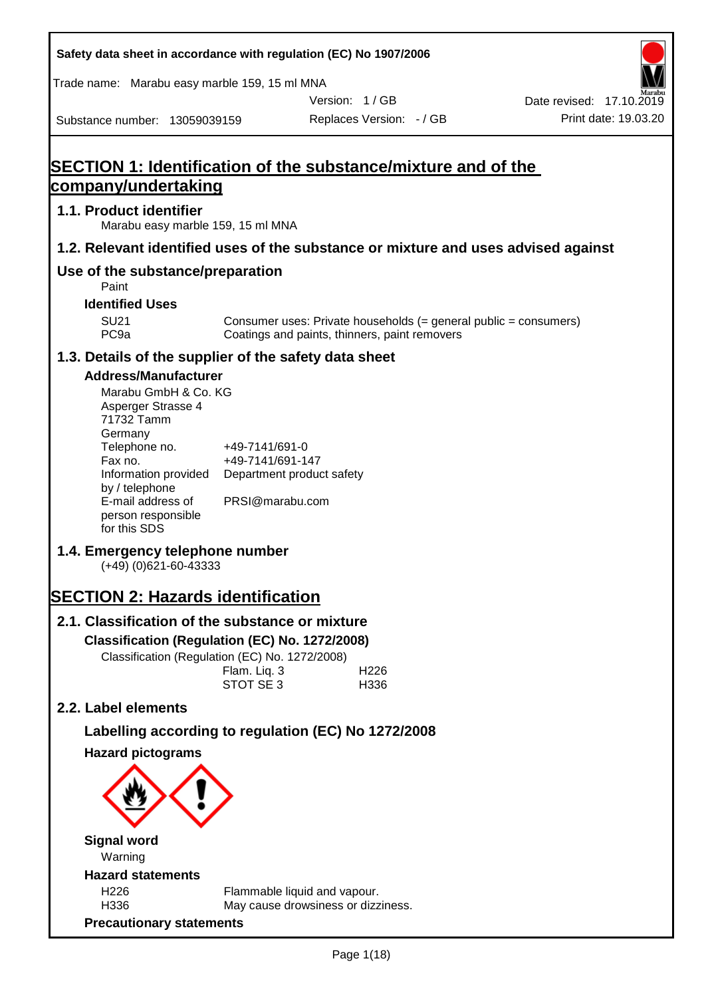| Safety data sheet in accordance with regulation (EC) No 1907/2006                                                                                                                                                   |                                                                                    |                                               |                                                                  |                                                  |
|---------------------------------------------------------------------------------------------------------------------------------------------------------------------------------------------------------------------|------------------------------------------------------------------------------------|-----------------------------------------------|------------------------------------------------------------------|--------------------------------------------------|
| Trade name: Marabu easy marble 159, 15 ml MNA                                                                                                                                                                       |                                                                                    |                                               |                                                                  |                                                  |
| Substance number: 13059039159                                                                                                                                                                                       |                                                                                    | Version: 1/GB<br>Replaces Version: - / GB     |                                                                  | Date revised: 17.10.2019<br>Print date: 19.03.20 |
| <b>SECTION 1: Identification of the substance/mixture and of the</b>                                                                                                                                                |                                                                                    |                                               |                                                                  |                                                  |
| company/undertaking                                                                                                                                                                                                 |                                                                                    |                                               |                                                                  |                                                  |
| 1.1. Product identifier<br>Marabu easy marble 159, 15 ml MNA                                                                                                                                                        |                                                                                    |                                               |                                                                  |                                                  |
| 1.2. Relevant identified uses of the substance or mixture and uses advised against                                                                                                                                  |                                                                                    |                                               |                                                                  |                                                  |
| Use of the substance/preparation<br>Paint                                                                                                                                                                           |                                                                                    |                                               |                                                                  |                                                  |
| <b>Identified Uses</b>                                                                                                                                                                                              |                                                                                    |                                               |                                                                  |                                                  |
| <b>SU21</b><br>PC <sub>9a</sub>                                                                                                                                                                                     |                                                                                    | Coatings and paints, thinners, paint removers | Consumer uses: Private households (= general public = consumers) |                                                  |
| 1.3. Details of the supplier of the safety data sheet                                                                                                                                                               |                                                                                    |                                               |                                                                  |                                                  |
| <b>Address/Manufacturer</b><br>Marabu GmbH & Co. KG<br>Asperger Strasse 4<br>71732 Tamm<br>Germany<br>Telephone no.<br>Fax no.<br>Information provided<br>by / telephone<br>E-mail address of<br>person responsible | +49-7141/691-0<br>+49-7141/691-147<br>Department product safety<br>PRSI@marabu.com |                                               |                                                                  |                                                  |
| for this SDS<br>1.4. Emergency telephone number<br>$(+49)$ (0)621-60-43333                                                                                                                                          |                                                                                    |                                               |                                                                  |                                                  |
| <b>SECTION 2: Hazards identification</b>                                                                                                                                                                            |                                                                                    |                                               |                                                                  |                                                  |
| 2.1. Classification of the substance or mixture                                                                                                                                                                     |                                                                                    |                                               |                                                                  |                                                  |
| Classification (Regulation (EC) No. 1272/2008)                                                                                                                                                                      |                                                                                    |                                               |                                                                  |                                                  |
| Classification (Regulation (EC) No. 1272/2008)                                                                                                                                                                      | Flam. Liq. 3<br>STOT SE 3                                                          | H226<br>H336                                  |                                                                  |                                                  |
| 2.2. Label elements                                                                                                                                                                                                 |                                                                                    |                                               |                                                                  |                                                  |
| Labelling according to regulation (EC) No 1272/2008                                                                                                                                                                 |                                                                                    |                                               |                                                                  |                                                  |
| <b>Hazard pictograms</b>                                                                                                                                                                                            |                                                                                    |                                               |                                                                  |                                                  |
|                                                                                                                                                                                                                     |                                                                                    |                                               |                                                                  |                                                  |
| <b>Signal word</b><br>Warning                                                                                                                                                                                       |                                                                                    |                                               |                                                                  |                                                  |
| <b>Hazard statements</b>                                                                                                                                                                                            |                                                                                    |                                               |                                                                  |                                                  |
| H226<br>H336                                                                                                                                                                                                        | Flammable liquid and vapour.                                                       | May cause drowsiness or dizziness.            |                                                                  |                                                  |
| <b>Precautionary statements</b>                                                                                                                                                                                     |                                                                                    |                                               |                                                                  |                                                  |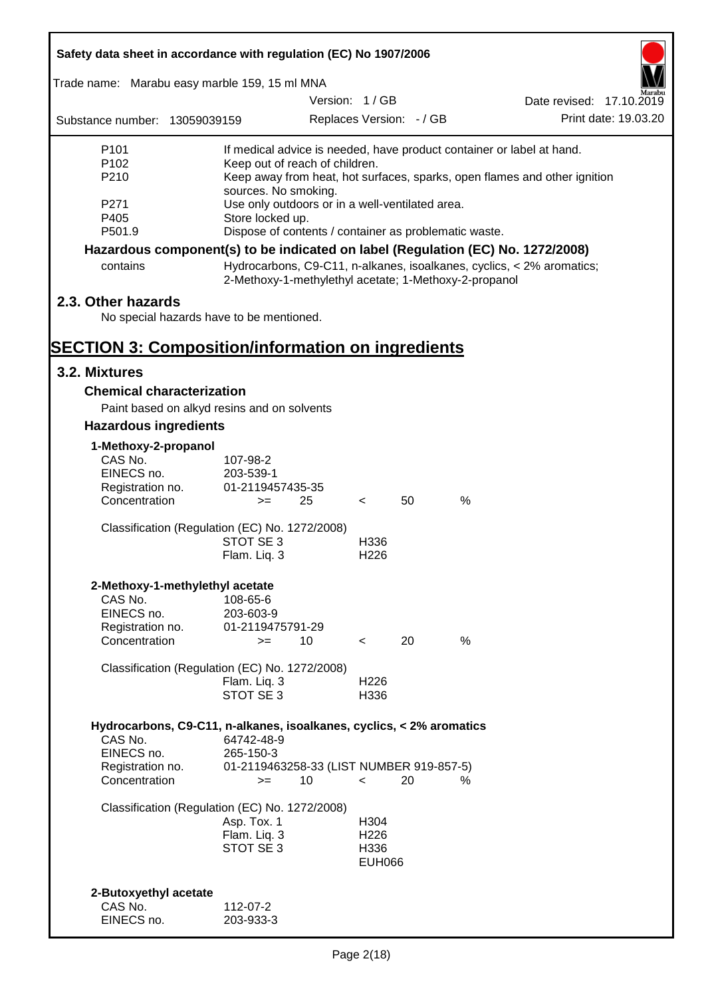| Safety data sheet in accordance with regulation (EC) No 1907/2006               |                          |                                                 |                          |    |                                                       |                                                                           |  |
|---------------------------------------------------------------------------------|--------------------------|-------------------------------------------------|--------------------------|----|-------------------------------------------------------|---------------------------------------------------------------------------|--|
| Trade name: Marabu easy marble 159, 15 ml MNA                                   |                          |                                                 |                          |    |                                                       |                                                                           |  |
|                                                                                 |                          |                                                 | Version: 1/GB            |    |                                                       | Date revised: 17.10.2019                                                  |  |
| Substance number: 13059039159                                                   |                          |                                                 | Replaces Version: - / GB |    |                                                       | Print date: 19.03.20                                                      |  |
| P <sub>101</sub>                                                                |                          |                                                 |                          |    |                                                       | If medical advice is needed, have product container or label at hand.     |  |
| P <sub>102</sub><br>P210                                                        |                          | Keep out of reach of children.                  |                          |    |                                                       |                                                                           |  |
|                                                                                 | sources. No smoking.     |                                                 |                          |    |                                                       | Keep away from heat, hot surfaces, sparks, open flames and other ignition |  |
| P271                                                                            |                          | Use only outdoors or in a well-ventilated area. |                          |    |                                                       |                                                                           |  |
| P405                                                                            | Store locked up.         |                                                 |                          |    |                                                       |                                                                           |  |
| P501.9                                                                          |                          |                                                 |                          |    | Dispose of contents / container as problematic waste. |                                                                           |  |
| Hazardous component(s) to be indicated on label (Regulation (EC) No. 1272/2008) |                          |                                                 |                          |    |                                                       |                                                                           |  |
| contains                                                                        |                          |                                                 |                          |    | 2-Methoxy-1-methylethyl acetate; 1-Methoxy-2-propanol | Hydrocarbons, C9-C11, n-alkanes, isoalkanes, cyclics, < 2% aromatics;     |  |
| 2.3. Other hazards                                                              |                          |                                                 |                          |    |                                                       |                                                                           |  |
| No special hazards have to be mentioned.                                        |                          |                                                 |                          |    |                                                       |                                                                           |  |
|                                                                                 |                          |                                                 |                          |    |                                                       |                                                                           |  |
| <b>SECTION 3: Composition/information on ingredients</b>                        |                          |                                                 |                          |    |                                                       |                                                                           |  |
| 3.2. Mixtures                                                                   |                          |                                                 |                          |    |                                                       |                                                                           |  |
| <b>Chemical characterization</b>                                                |                          |                                                 |                          |    |                                                       |                                                                           |  |
| Paint based on alkyd resins and on solvents                                     |                          |                                                 |                          |    |                                                       |                                                                           |  |
| <b>Hazardous ingredients</b>                                                    |                          |                                                 |                          |    |                                                       |                                                                           |  |
| 1-Methoxy-2-propanol                                                            |                          |                                                 |                          |    |                                                       |                                                                           |  |
| CAS No.                                                                         | 107-98-2                 |                                                 |                          |    |                                                       |                                                                           |  |
| EINECS no.                                                                      | 203-539-1                |                                                 |                          |    |                                                       |                                                                           |  |
| Registration no.<br>Concentration                                               | 01-2119457435-35<br>$>=$ | 25                                              | $\lt$                    | 50 | $\%$                                                  |                                                                           |  |
|                                                                                 |                          |                                                 |                          |    |                                                       |                                                                           |  |
| Classification (Regulation (EC) No. 1272/2008)                                  |                          |                                                 |                          |    |                                                       |                                                                           |  |
|                                                                                 | STOT SE 3                |                                                 | H336                     |    |                                                       |                                                                           |  |
|                                                                                 | Flam. Liq. 3             |                                                 | H <sub>226</sub>         |    |                                                       |                                                                           |  |
| 2-Methoxy-1-methylethyl acetate                                                 |                          |                                                 |                          |    |                                                       |                                                                           |  |
| CAS No.                                                                         | 108-65-6                 |                                                 |                          |    |                                                       |                                                                           |  |
| EINECS no.                                                                      | 203-603-9                |                                                 |                          |    |                                                       |                                                                           |  |
| Registration no.                                                                | 01-2119475791-29         |                                                 |                          |    |                                                       |                                                                           |  |
| Concentration                                                                   | $>=$                     | 10                                              | $\prec$                  | 20 | %                                                     |                                                                           |  |
| Classification (Regulation (EC) No. 1272/2008)                                  |                          |                                                 |                          |    |                                                       |                                                                           |  |
|                                                                                 | Flam. Liq. 3             |                                                 | H <sub>226</sub>         |    |                                                       |                                                                           |  |
|                                                                                 | STOT SE 3                |                                                 | H336                     |    |                                                       |                                                                           |  |
|                                                                                 |                          |                                                 |                          |    |                                                       |                                                                           |  |
| Hydrocarbons, C9-C11, n-alkanes, isoalkanes, cyclics, < 2% aromatics<br>CAS No. | 64742-48-9               |                                                 |                          |    |                                                       |                                                                           |  |
| EINECS no.                                                                      | 265-150-3                |                                                 |                          |    |                                                       |                                                                           |  |
| Registration no.                                                                |                          | 01-2119463258-33 (LIST NUMBER 919-857-5)        |                          |    |                                                       |                                                                           |  |
| Concentration                                                                   | $>=$                     | 10                                              | $\overline{\phantom{0}}$ | 20 | %                                                     |                                                                           |  |
| Classification (Regulation (EC) No. 1272/2008)                                  |                          |                                                 |                          |    |                                                       |                                                                           |  |
|                                                                                 | Asp. Tox. 1              |                                                 | H304                     |    |                                                       |                                                                           |  |
|                                                                                 | Flam. Liq. 3             |                                                 | H <sub>226</sub>         |    |                                                       |                                                                           |  |
|                                                                                 | STOT SE 3                |                                                 | H336                     |    |                                                       |                                                                           |  |
|                                                                                 |                          |                                                 | <b>EUH066</b>            |    |                                                       |                                                                           |  |
| 2-Butoxyethyl acetate                                                           |                          |                                                 |                          |    |                                                       |                                                                           |  |
| CAS No.                                                                         | 112-07-2                 |                                                 |                          |    |                                                       |                                                                           |  |
| EINECS no.                                                                      | 203-933-3                |                                                 |                          |    |                                                       |                                                                           |  |
|                                                                                 |                          |                                                 |                          |    |                                                       |                                                                           |  |

Г

 $\overline{\mathbf{1}}$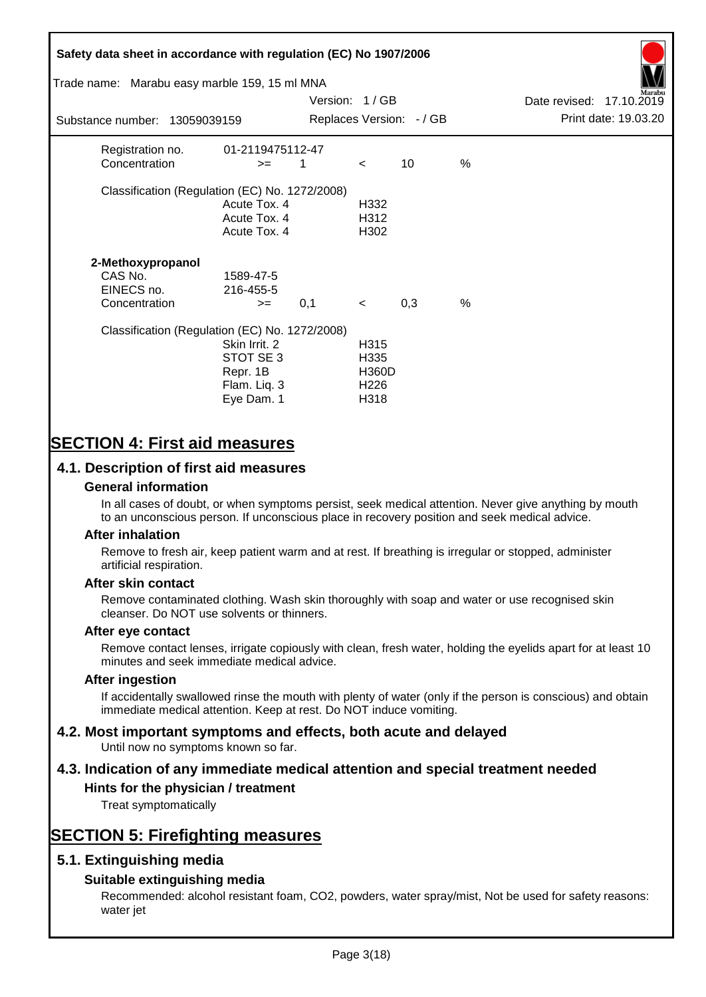# **Safety data sheet in accordance with regulation (EC) No 1907/2006** Substance number: 13059039159 Version: 1 / GB Replaces Version:  $-$  / GB Print date: 19.03.20 Date revised: 17.10.2019 Trade name: Marabu easy marble 159, 15 ml MNA Registration no. 01-2119475112-47  $\text{Concentration}$   $\geq$  1 < 10 % Classification (Regulation (EC) No. 1272/2008) Acute Tox. 4 H332 Acute Tox. 4 H312 Acute Tox. 4 H302 **2-Methoxypropanol** CAS No. 1589-47-5 EINECS no. 216-455-5  $\text{Concentration}$   $\rightarrow$  0.1 < 0.3 % Classification (Regulation (EC) No. 1272/2008) Skin Irrit. 2 H315 STOT SE 3 H335 Repr. 1B H360D Flam. Liq. 3 H226 Eye Dam. 1 H318

# **SECTION 4: First aid measures**

## **4.1. Description of first aid measures**

#### **General information**

In all cases of doubt, or when symptoms persist, seek medical attention. Never give anything by mouth to an unconscious person. If unconscious place in recovery position and seek medical advice.

#### **After inhalation**

Remove to fresh air, keep patient warm and at rest. If breathing is irregular or stopped, administer artificial respiration.

#### **After skin contact**

Remove contaminated clothing. Wash skin thoroughly with soap and water or use recognised skin cleanser. Do NOT use solvents or thinners.

#### **After eye contact**

Remove contact lenses, irrigate copiously with clean, fresh water, holding the eyelids apart for at least 10 minutes and seek immediate medical advice.

#### **After ingestion**

If accidentally swallowed rinse the mouth with plenty of water (only if the person is conscious) and obtain immediate medical attention. Keep at rest. Do NOT induce vomiting.

# **4.2. Most important symptoms and effects, both acute and delayed**

Until now no symptoms known so far.

# **4.3. Indication of any immediate medical attention and special treatment needed**

### **Hints for the physician / treatment**

Treat symptomatically

# **SECTION 5: Firefighting measures**

### **5.1. Extinguishing media**

### **Suitable extinguishing media**

Recommended: alcohol resistant foam, CO2, powders, water spray/mist, Not be used for safety reasons: water jet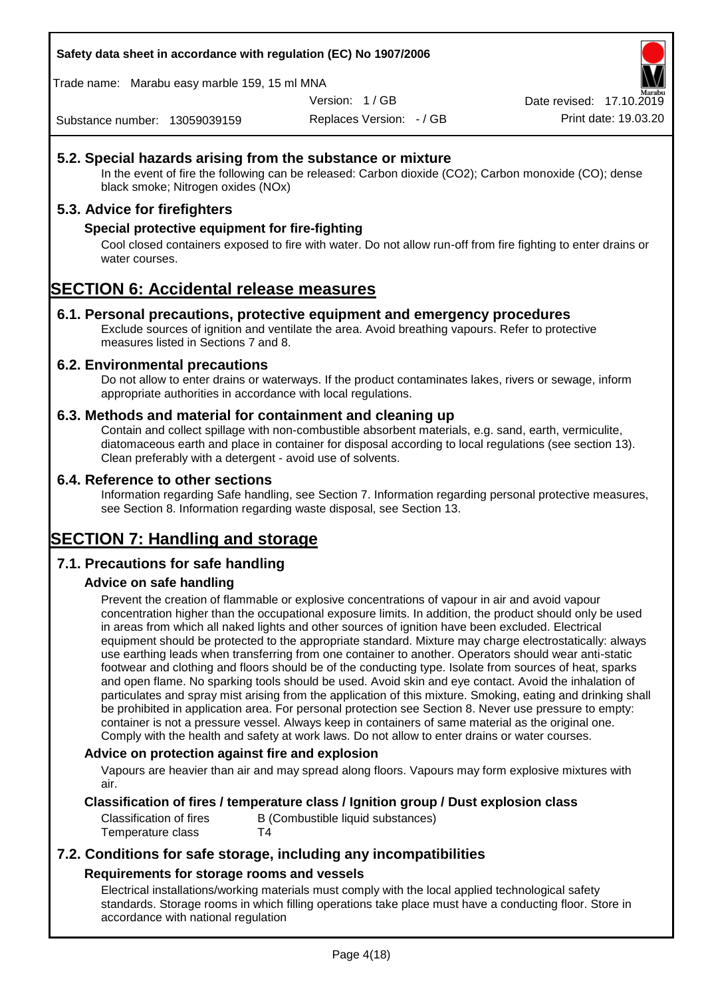**Safety data sheet in accordance with regulation (EC) No 1907/2006**

Trade name: Marabu easy marble 159, 15 ml MNA

Version: 1 / GB

Replaces Version: - / GB Print date: 19.03.20 Date revised: 17.10.2

Substance number: 13059039159

## **5.2. Special hazards arising from the substance or mixture**

In the event of fire the following can be released: Carbon dioxide (CO2); Carbon monoxide (CO); dense black smoke; Nitrogen oxides (NOx)

### **5.3. Advice for firefighters**

### **Special protective equipment for fire-fighting**

Cool closed containers exposed to fire with water. Do not allow run-off from fire fighting to enter drains or water courses.

# **SECTION 6: Accidental release measures**

#### **6.1. Personal precautions, protective equipment and emergency procedures**

Exclude sources of ignition and ventilate the area. Avoid breathing vapours. Refer to protective measures listed in Sections 7 and 8.

#### **6.2. Environmental precautions**

Do not allow to enter drains or waterways. If the product contaminates lakes, rivers or sewage, inform appropriate authorities in accordance with local regulations.

#### **6.3. Methods and material for containment and cleaning up**

Contain and collect spillage with non-combustible absorbent materials, e.g. sand, earth, vermiculite, diatomaceous earth and place in container for disposal according to local regulations (see section 13). Clean preferably with a detergent - avoid use of solvents.

#### **6.4. Reference to other sections**

Information regarding Safe handling, see Section 7. Information regarding personal protective measures, see Section 8. Information regarding waste disposal, see Section 13.

# **SECTION 7: Handling and storage**

### **7.1. Precautions for safe handling**

### **Advice on safe handling**

Prevent the creation of flammable or explosive concentrations of vapour in air and avoid vapour concentration higher than the occupational exposure limits. In addition, the product should only be used in areas from which all naked lights and other sources of ignition have been excluded. Electrical equipment should be protected to the appropriate standard. Mixture may charge electrostatically: always use earthing leads when transferring from one container to another. Operators should wear anti-static footwear and clothing and floors should be of the conducting type. Isolate from sources of heat, sparks and open flame. No sparking tools should be used. Avoid skin and eye contact. Avoid the inhalation of particulates and spray mist arising from the application of this mixture. Smoking, eating and drinking shall be prohibited in application area. For personal protection see Section 8. Never use pressure to empty: container is not a pressure vessel. Always keep in containers of same material as the original one. Comply with the health and safety at work laws. Do not allow to enter drains or water courses.

#### **Advice on protection against fire and explosion**

Vapours are heavier than air and may spread along floors. Vapours may form explosive mixtures with air.

#### **Classification of fires / temperature class / Ignition group / Dust explosion class**

Classification of fires B (Combustible liquid substances) Temperature class T4

## **7.2. Conditions for safe storage, including any incompatibilities Requirements for storage rooms and vessels**

Electrical installations/working materials must comply with the local applied technological safety standards. Storage rooms in which filling operations take place must have a conducting floor. Store in accordance with national regulation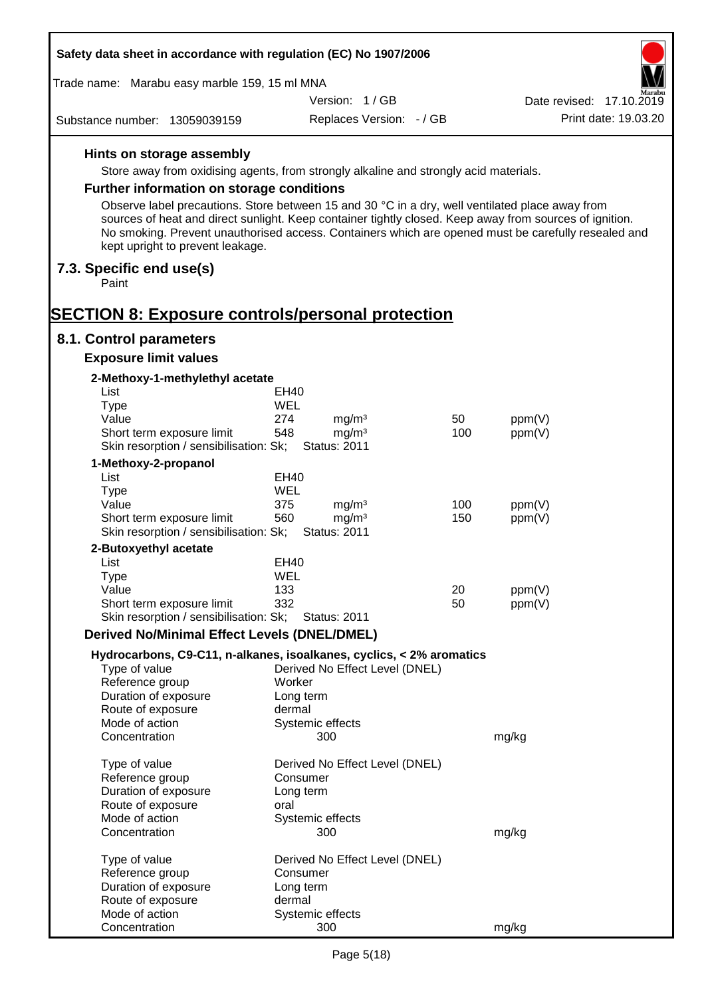| Safety data sheet in accordance with regulation (EC) No 1907/2006   |                                                                                                                                                                                                                                                                                                                   |           |                          |  |
|---------------------------------------------------------------------|-------------------------------------------------------------------------------------------------------------------------------------------------------------------------------------------------------------------------------------------------------------------------------------------------------------------|-----------|--------------------------|--|
| Trade name: Marabu easy marble 159, 15 ml MNA                       |                                                                                                                                                                                                                                                                                                                   |           |                          |  |
|                                                                     | Version: 1/GB                                                                                                                                                                                                                                                                                                     |           | Date revised: 17.10.2019 |  |
| Substance number: 13059039159                                       | Replaces Version: - / GB                                                                                                                                                                                                                                                                                          |           | Print date: 19.03.20     |  |
| Hints on storage assembly                                           |                                                                                                                                                                                                                                                                                                                   |           |                          |  |
|                                                                     | Store away from oxidising agents, from strongly alkaline and strongly acid materials.                                                                                                                                                                                                                             |           |                          |  |
| <b>Further information on storage conditions</b>                    |                                                                                                                                                                                                                                                                                                                   |           |                          |  |
| kept upright to prevent leakage.                                    | Observe label precautions. Store between 15 and 30 °C in a dry, well ventilated place away from<br>sources of heat and direct sunlight. Keep container tightly closed. Keep away from sources of ignition.<br>No smoking. Prevent unauthorised access. Containers which are opened must be carefully resealed and |           |                          |  |
| 7.3. Specific end use(s)<br>Paint                                   |                                                                                                                                                                                                                                                                                                                   |           |                          |  |
| <b>SECTION 8: Exposure controls/personal protection</b>             |                                                                                                                                                                                                                                                                                                                   |           |                          |  |
| 8.1. Control parameters                                             |                                                                                                                                                                                                                                                                                                                   |           |                          |  |
| <b>Exposure limit values</b>                                        |                                                                                                                                                                                                                                                                                                                   |           |                          |  |
| 2-Methoxy-1-methylethyl acetate                                     |                                                                                                                                                                                                                                                                                                                   |           |                          |  |
| List                                                                | EH40                                                                                                                                                                                                                                                                                                              |           |                          |  |
| <b>Type</b>                                                         | WEL                                                                                                                                                                                                                                                                                                               |           |                          |  |
| Value<br>Short term exposure limit                                  | 274<br>mg/m <sup>3</sup><br>mg/m <sup>3</sup><br>548                                                                                                                                                                                                                                                              | 50<br>100 | ppm(V)                   |  |
| Skin resorption / sensibilisation: Sk;                              | <b>Status: 2011</b>                                                                                                                                                                                                                                                                                               |           | ppm(V)                   |  |
| 1-Methoxy-2-propanol                                                |                                                                                                                                                                                                                                                                                                                   |           |                          |  |
| List                                                                | <b>EH40</b>                                                                                                                                                                                                                                                                                                       |           |                          |  |
| <b>Type</b>                                                         | <b>WEL</b>                                                                                                                                                                                                                                                                                                        |           |                          |  |
| Value                                                               | 375<br>mg/m <sup>3</sup>                                                                                                                                                                                                                                                                                          | 100       | ppm(V)                   |  |
| Short term exposure limit<br>Skin resorption / sensibilisation: Sk; | 560<br>mg/m <sup>3</sup><br><b>Status: 2011</b>                                                                                                                                                                                                                                                                   | 150       | ppm(V)                   |  |
| 2-Butoxyethyl acetate                                               |                                                                                                                                                                                                                                                                                                                   |           |                          |  |
| List                                                                | EH40                                                                                                                                                                                                                                                                                                              |           |                          |  |
| <b>Type</b>                                                         | WEL                                                                                                                                                                                                                                                                                                               |           |                          |  |
| Value                                                               | 133                                                                                                                                                                                                                                                                                                               | 20        | ppm(V)                   |  |
| Short term exposure limit<br>Skin resorption / sensibilisation: Sk; | 332<br><b>Status: 2011</b>                                                                                                                                                                                                                                                                                        | 50        | ppm(V)                   |  |
| <b>Derived No/Minimal Effect Levels (DNEL/DMEL)</b>                 |                                                                                                                                                                                                                                                                                                                   |           |                          |  |
|                                                                     |                                                                                                                                                                                                                                                                                                                   |           |                          |  |
| Type of value                                                       | Hydrocarbons, C9-C11, n-alkanes, isoalkanes, cyclics, < 2% aromatics<br>Derived No Effect Level (DNEL)                                                                                                                                                                                                            |           |                          |  |
| Reference group                                                     | Worker                                                                                                                                                                                                                                                                                                            |           |                          |  |
| Duration of exposure                                                | Long term                                                                                                                                                                                                                                                                                                         |           |                          |  |
| Route of exposure                                                   | dermal                                                                                                                                                                                                                                                                                                            |           |                          |  |
| Mode of action                                                      | Systemic effects                                                                                                                                                                                                                                                                                                  |           |                          |  |
| Concentration                                                       | 300                                                                                                                                                                                                                                                                                                               |           | mg/kg                    |  |
| Type of value                                                       | Derived No Effect Level (DNEL)                                                                                                                                                                                                                                                                                    |           |                          |  |
| Reference group                                                     | Consumer                                                                                                                                                                                                                                                                                                          |           |                          |  |
| Duration of exposure                                                | Long term                                                                                                                                                                                                                                                                                                         |           |                          |  |
| Route of exposure                                                   | oral                                                                                                                                                                                                                                                                                                              |           |                          |  |
| Mode of action                                                      | Systemic effects                                                                                                                                                                                                                                                                                                  |           |                          |  |
| Concentration                                                       | 300                                                                                                                                                                                                                                                                                                               |           | mg/kg                    |  |
| Type of value                                                       | Derived No Effect Level (DNEL)                                                                                                                                                                                                                                                                                    |           |                          |  |
| Reference group                                                     | Consumer                                                                                                                                                                                                                                                                                                          |           |                          |  |
| Duration of exposure                                                | Long term                                                                                                                                                                                                                                                                                                         |           |                          |  |
| Route of exposure                                                   | dermal                                                                                                                                                                                                                                                                                                            |           |                          |  |
| Mode of action                                                      | Systemic effects                                                                                                                                                                                                                                                                                                  |           |                          |  |
| Concentration                                                       | 300                                                                                                                                                                                                                                                                                                               |           | mg/kg                    |  |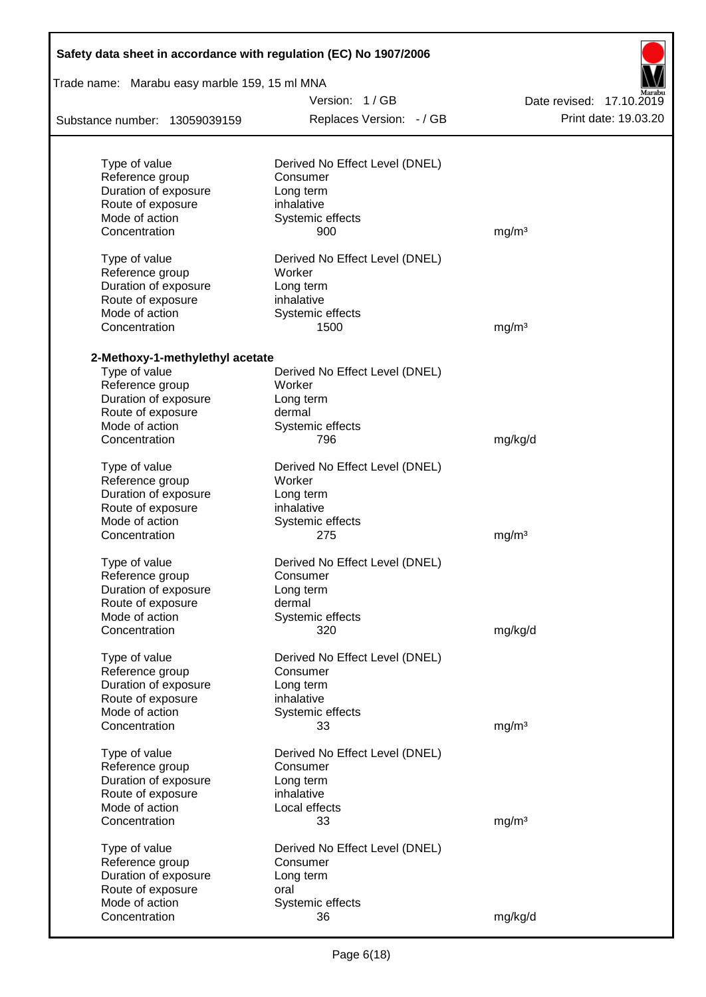| Trade name: Marabu easy marble 159, 15 ml MNA    |                                |                          |
|--------------------------------------------------|--------------------------------|--------------------------|
|                                                  | Version: 1/GB                  | Date revised: 17.10.2019 |
| Substance number: 13059039159                    | Replaces Version: - / GB       | Print date: 19.03.20     |
|                                                  |                                |                          |
| Type of value                                    | Derived No Effect Level (DNEL) |                          |
| Reference group                                  | Consumer                       |                          |
| Duration of exposure<br>Route of exposure        | Long term<br>inhalative        |                          |
| Mode of action                                   | Systemic effects               |                          |
| Concentration                                    | 900                            | mg/m <sup>3</sup>        |
| Type of value                                    | Derived No Effect Level (DNEL) |                          |
| Reference group                                  | Worker                         |                          |
| Duration of exposure                             | Long term                      |                          |
| Route of exposure                                | inhalative                     |                          |
| Mode of action                                   | Systemic effects               |                          |
| Concentration                                    | 1500                           | mg/m <sup>3</sup>        |
|                                                  |                                |                          |
| 2-Methoxy-1-methylethyl acetate<br>Type of value | Derived No Effect Level (DNEL) |                          |
| Reference group                                  | Worker                         |                          |
| Duration of exposure                             | Long term                      |                          |
| Route of exposure                                | dermal                         |                          |
| Mode of action                                   | Systemic effects               |                          |
| Concentration                                    | 796                            | mg/kg/d                  |
| Type of value                                    | Derived No Effect Level (DNEL) |                          |
| Reference group                                  | Worker                         |                          |
| Duration of exposure                             | Long term                      |                          |
| Route of exposure                                | inhalative                     |                          |
| Mode of action                                   | Systemic effects               |                          |
| Concentration                                    | 275                            | mg/m <sup>3</sup>        |
| Type of value                                    | Derived No Effect Level (DNEL) |                          |
| Reference group                                  | Consumer                       |                          |
| Duration of exposure                             | Long term                      |                          |
| Route of exposure                                | dermal                         |                          |
| Mode of action                                   | Systemic effects               |                          |
| Concentration                                    | 320                            | mg/kg/d                  |
| Type of value                                    | Derived No Effect Level (DNEL) |                          |
| Reference group                                  | Consumer                       |                          |
| Duration of exposure                             | Long term                      |                          |
| Route of exposure                                | inhalative                     |                          |
| Mode of action                                   | Systemic effects               |                          |
| Concentration                                    | 33                             | mg/m <sup>3</sup>        |
| Type of value                                    | Derived No Effect Level (DNEL) |                          |
| Reference group                                  | Consumer                       |                          |
| Duration of exposure                             | Long term                      |                          |
| Route of exposure                                | inhalative                     |                          |
| Mode of action                                   | Local effects                  |                          |
| Concentration                                    | 33                             | mg/m <sup>3</sup>        |
| Type of value                                    | Derived No Effect Level (DNEL) |                          |
| Reference group                                  | Consumer                       |                          |
| Duration of exposure                             | Long term                      |                          |
| Route of exposure                                | oral                           |                          |
| Mode of action                                   | Systemic effects               |                          |
| Concentration                                    | 36                             | mg/kg/d                  |
|                                                  |                                |                          |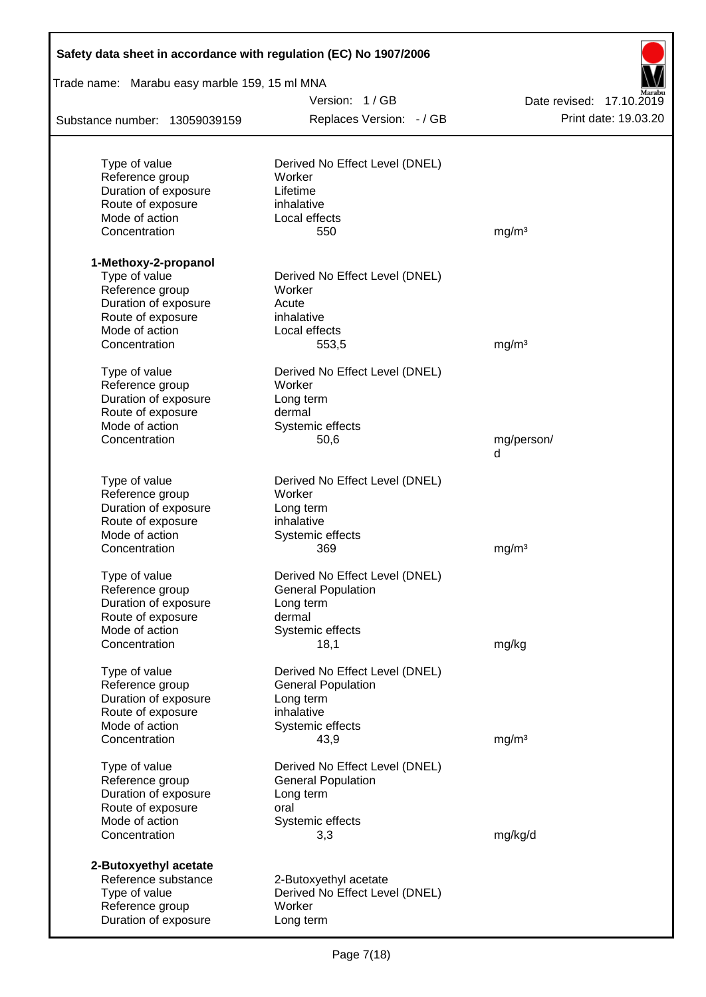| Safety data sheet in accordance with regulation (EC) No 1907/2006 |                                          |                          |
|-------------------------------------------------------------------|------------------------------------------|--------------------------|
| Trade name: Marabu easy marble 159, 15 ml MNA                     |                                          |                          |
|                                                                   | Version: 1/GB                            | Date revised: 17.10.2019 |
| Substance number: 13059039159                                     | Replaces Version: - / GB                 | Print date: 19.03.20     |
|                                                                   |                                          |                          |
| Type of value<br>Reference group                                  | Derived No Effect Level (DNEL)<br>Worker |                          |
| Duration of exposure                                              | Lifetime                                 |                          |
| Route of exposure                                                 | inhalative                               |                          |
| Mode of action                                                    | Local effects                            |                          |
| Concentration                                                     | 550                                      | mg/m <sup>3</sup>        |
| 1-Methoxy-2-propanol                                              |                                          |                          |
| Type of value                                                     | Derived No Effect Level (DNEL)           |                          |
| Reference group                                                   | Worker                                   |                          |
| Duration of exposure                                              | Acute                                    |                          |
| Route of exposure                                                 | inhalative                               |                          |
| Mode of action                                                    | Local effects                            |                          |
| Concentration                                                     | 553,5                                    | mg/m <sup>3</sup>        |
| Type of value                                                     | Derived No Effect Level (DNEL)           |                          |
| Reference group                                                   | Worker                                   |                          |
| Duration of exposure                                              | Long term                                |                          |
| Route of exposure                                                 | dermal                                   |                          |
| Mode of action                                                    | Systemic effects                         |                          |
| Concentration                                                     | 50,6                                     | mg/person/<br>d          |
| Type of value                                                     | Derived No Effect Level (DNEL)           |                          |
| Reference group                                                   | Worker                                   |                          |
| Duration of exposure                                              | Long term                                |                          |
| Route of exposure                                                 | inhalative                               |                          |
| Mode of action                                                    | Systemic effects                         |                          |
| Concentration                                                     | 369                                      | mg/m <sup>3</sup>        |
| Type of value                                                     | Derived No Effect Level (DNEL)           |                          |
| Reference group                                                   | <b>General Population</b>                |                          |
| Duration of exposure                                              | Long term                                |                          |
| Route of exposure                                                 | dermal                                   |                          |
| Mode of action                                                    | Systemic effects                         |                          |
| Concentration                                                     | 18,1                                     | mg/kg                    |
| Type of value                                                     | Derived No Effect Level (DNEL)           |                          |
| Reference group                                                   | <b>General Population</b>                |                          |
| Duration of exposure                                              | Long term                                |                          |
| Route of exposure                                                 | inhalative                               |                          |
| Mode of action<br>Concentration                                   | Systemic effects<br>43,9                 | mg/m <sup>3</sup>        |
|                                                                   |                                          |                          |
| Type of value                                                     | Derived No Effect Level (DNEL)           |                          |
| Reference group                                                   | <b>General Population</b>                |                          |
| Duration of exposure                                              | Long term                                |                          |
| Route of exposure                                                 | oral                                     |                          |
| Mode of action<br>Concentration                                   | Systemic effects<br>3,3                  | mg/kg/d                  |
| 2-Butoxyethyl acetate                                             |                                          |                          |
| Reference substance                                               | 2-Butoxyethyl acetate                    |                          |
| Type of value                                                     | Derived No Effect Level (DNEL)           |                          |
| Reference group                                                   | Worker                                   |                          |
| Duration of exposure                                              | Long term                                |                          |
|                                                                   |                                          |                          |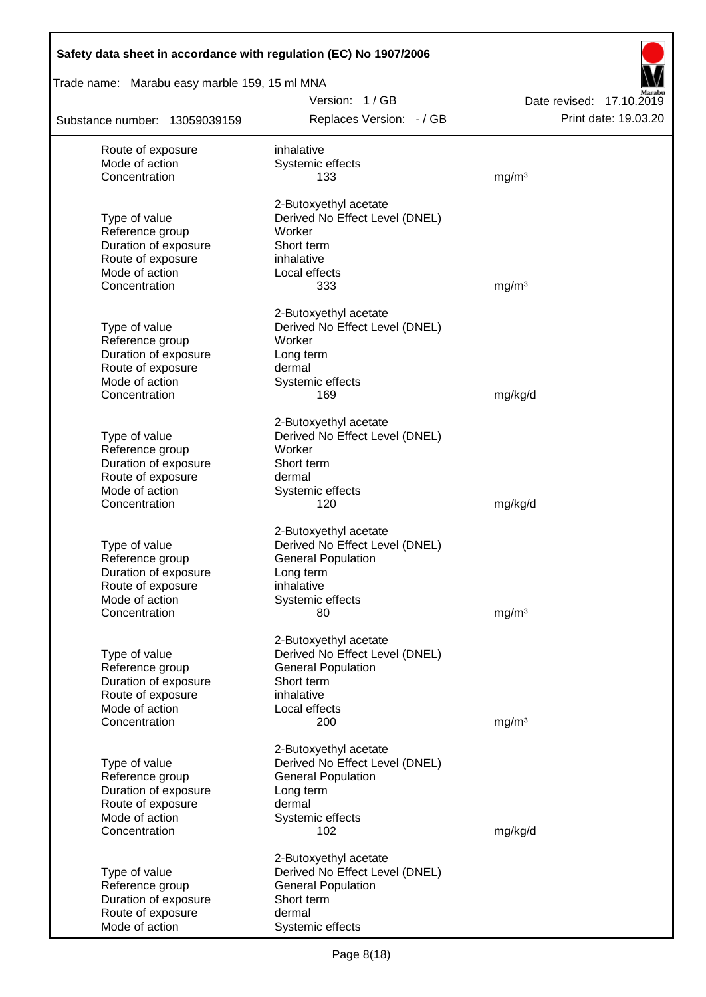| Safety data sheet in accordance with regulation (EC) No 1907/2006 |                                                             |                                                  |
|-------------------------------------------------------------------|-------------------------------------------------------------|--------------------------------------------------|
| Trade name: Marabu easy marble 159, 15 ml MNA                     |                                                             |                                                  |
| Substance number: 13059039159                                     | Version: 1/GB<br>Replaces Version: - / GB                   | Date revised: 17.10.2019<br>Print date: 19.03.20 |
| Route of exposure                                                 | inhalative                                                  |                                                  |
| Mode of action                                                    | Systemic effects                                            |                                                  |
| Concentration                                                     | 133                                                         | mg/m <sup>3</sup>                                |
|                                                                   | 2-Butoxyethyl acetate                                       |                                                  |
| Type of value                                                     | Derived No Effect Level (DNEL)                              |                                                  |
| Reference group                                                   | Worker                                                      |                                                  |
| Duration of exposure                                              | Short term                                                  |                                                  |
| Route of exposure                                                 | inhalative                                                  |                                                  |
| Mode of action<br>Concentration                                   | Local effects<br>333                                        | mg/m <sup>3</sup>                                |
|                                                                   |                                                             |                                                  |
|                                                                   | 2-Butoxyethyl acetate                                       |                                                  |
| Type of value                                                     | Derived No Effect Level (DNEL)                              |                                                  |
| Reference group<br>Duration of exposure                           | Worker<br>Long term                                         |                                                  |
| Route of exposure                                                 | dermal                                                      |                                                  |
| Mode of action                                                    | Systemic effects                                            |                                                  |
| Concentration                                                     | 169                                                         | mg/kg/d                                          |
|                                                                   | 2-Butoxyethyl acetate                                       |                                                  |
| Type of value                                                     | Derived No Effect Level (DNEL)                              |                                                  |
| Reference group                                                   | Worker                                                      |                                                  |
| Duration of exposure                                              | Short term                                                  |                                                  |
| Route of exposure                                                 | dermal                                                      |                                                  |
| Mode of action<br>Concentration                                   | Systemic effects<br>120                                     | mg/kg/d                                          |
|                                                                   |                                                             |                                                  |
|                                                                   | 2-Butoxyethyl acetate                                       |                                                  |
| Type of value                                                     | Derived No Effect Level (DNEL)                              |                                                  |
| Reference group<br>Duration of exposure                           | <b>General Population</b><br>Long term                      |                                                  |
| Route of exposure                                                 | inhalative                                                  |                                                  |
| Mode of action                                                    | Systemic effects                                            |                                                  |
| Concentration                                                     | 80                                                          | mg/m <sup>3</sup>                                |
|                                                                   | 2-Butoxyethyl acetate                                       |                                                  |
| Type of value                                                     | Derived No Effect Level (DNEL)                              |                                                  |
| Reference group                                                   | <b>General Population</b>                                   |                                                  |
| Duration of exposure                                              | Short term                                                  |                                                  |
| Route of exposure<br>Mode of action                               | inhalative<br>Local effects                                 |                                                  |
| Concentration                                                     | 200                                                         | mg/m <sup>3</sup>                                |
|                                                                   |                                                             |                                                  |
|                                                                   | 2-Butoxyethyl acetate                                       |                                                  |
| Type of value<br>Reference group                                  | Derived No Effect Level (DNEL)<br><b>General Population</b> |                                                  |
| Duration of exposure                                              | Long term                                                   |                                                  |
| Route of exposure                                                 | dermal                                                      |                                                  |
| Mode of action                                                    | Systemic effects                                            |                                                  |
| Concentration                                                     | 102                                                         | mg/kg/d                                          |
|                                                                   | 2-Butoxyethyl acetate                                       |                                                  |
| Type of value                                                     | Derived No Effect Level (DNEL)                              |                                                  |
| Reference group                                                   | <b>General Population</b>                                   |                                                  |
| Duration of exposure<br>Route of exposure                         | Short term<br>dermal                                        |                                                  |
| Mode of action                                                    | Systemic effects                                            |                                                  |
|                                                                   |                                                             |                                                  |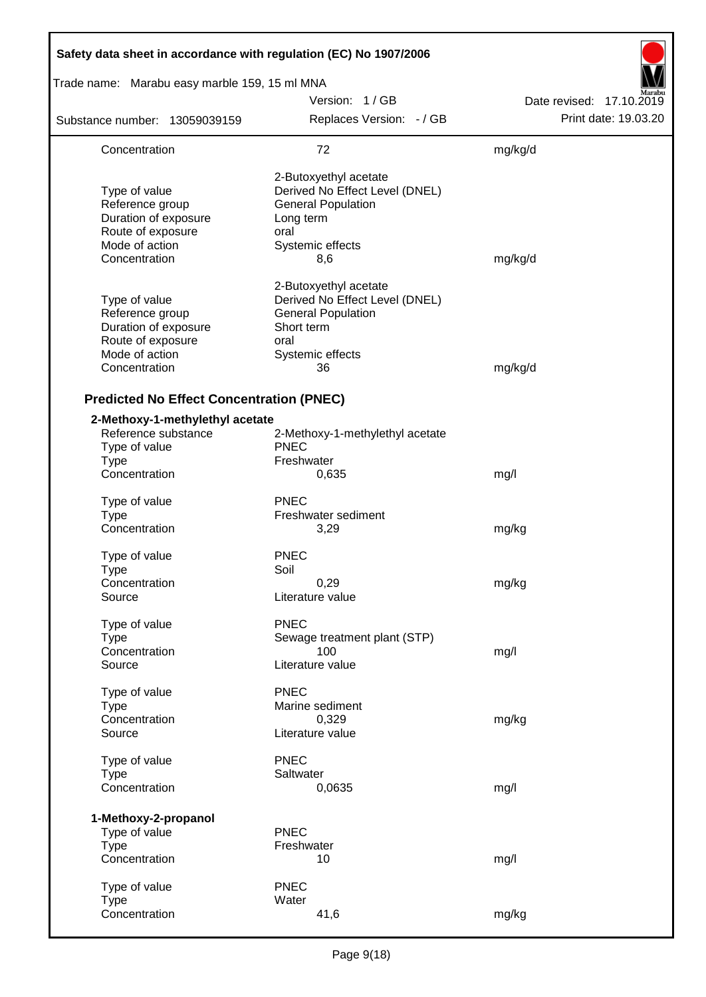| Safety data sheet in accordance with regulation (EC) No 1907/2006                                                |                                                                                                                                      |                          |  |  |  |  |
|------------------------------------------------------------------------------------------------------------------|--------------------------------------------------------------------------------------------------------------------------------------|--------------------------|--|--|--|--|
| Trade name: Marabu easy marble 159, 15 ml MNA                                                                    |                                                                                                                                      |                          |  |  |  |  |
|                                                                                                                  | Version: 1/GB                                                                                                                        | Date revised: 17.10.2019 |  |  |  |  |
| Substance number: 13059039159                                                                                    | Replaces Version: - / GB                                                                                                             | Print date: 19.03.20     |  |  |  |  |
| Concentration                                                                                                    | 72                                                                                                                                   | mg/kg/d                  |  |  |  |  |
| Type of value<br>Reference group<br>Duration of exposure<br>Route of exposure<br>Mode of action<br>Concentration | 2-Butoxyethyl acetate<br>Derived No Effect Level (DNEL)<br><b>General Population</b><br>Long term<br>oral<br>Systemic effects<br>8,6 | mg/kg/d                  |  |  |  |  |
| Type of value<br>Reference group<br>Duration of exposure<br>Route of exposure<br>Mode of action<br>Concentration | 2-Butoxyethyl acetate<br>Derived No Effect Level (DNEL)<br><b>General Population</b><br>Short term<br>oral<br>Systemic effects<br>36 | mg/kg/d                  |  |  |  |  |
| <b>Predicted No Effect Concentration (PNEC)</b>                                                                  |                                                                                                                                      |                          |  |  |  |  |
| 2-Methoxy-1-methylethyl acetate<br>Reference substance<br>Type of value<br><b>Type</b><br>Concentration          | 2-Methoxy-1-methylethyl acetate<br><b>PNEC</b><br>Freshwater<br>0,635                                                                | mg/l                     |  |  |  |  |
| Type of value<br>Type<br>Concentration                                                                           | <b>PNEC</b><br>Freshwater sediment<br>3,29                                                                                           | mg/kg                    |  |  |  |  |
| Type of value<br><b>Type</b><br>Concentration<br>Source                                                          | <b>PNEC</b><br>Soil<br>0,29<br>Literature value                                                                                      | mg/kg                    |  |  |  |  |
| Type of value<br><b>Type</b><br>Concentration<br>Source                                                          | <b>PNEC</b><br>Sewage treatment plant (STP)<br>100<br>Literature value                                                               | mg/l                     |  |  |  |  |
| Type of value<br><b>Type</b><br>Concentration<br>Source                                                          | <b>PNEC</b><br>Marine sediment<br>0,329<br>Literature value                                                                          | mg/kg                    |  |  |  |  |
| Type of value<br><b>Type</b><br>Concentration                                                                    | <b>PNEC</b><br>Saltwater<br>0,0635                                                                                                   | mg/l                     |  |  |  |  |
| 1-Methoxy-2-propanol<br>Type of value<br><b>Type</b><br>Concentration                                            | <b>PNEC</b><br>Freshwater<br>10                                                                                                      | mg/l                     |  |  |  |  |
| Type of value<br><b>Type</b><br>Concentration                                                                    | <b>PNEC</b><br>Water<br>41,6                                                                                                         | mg/kg                    |  |  |  |  |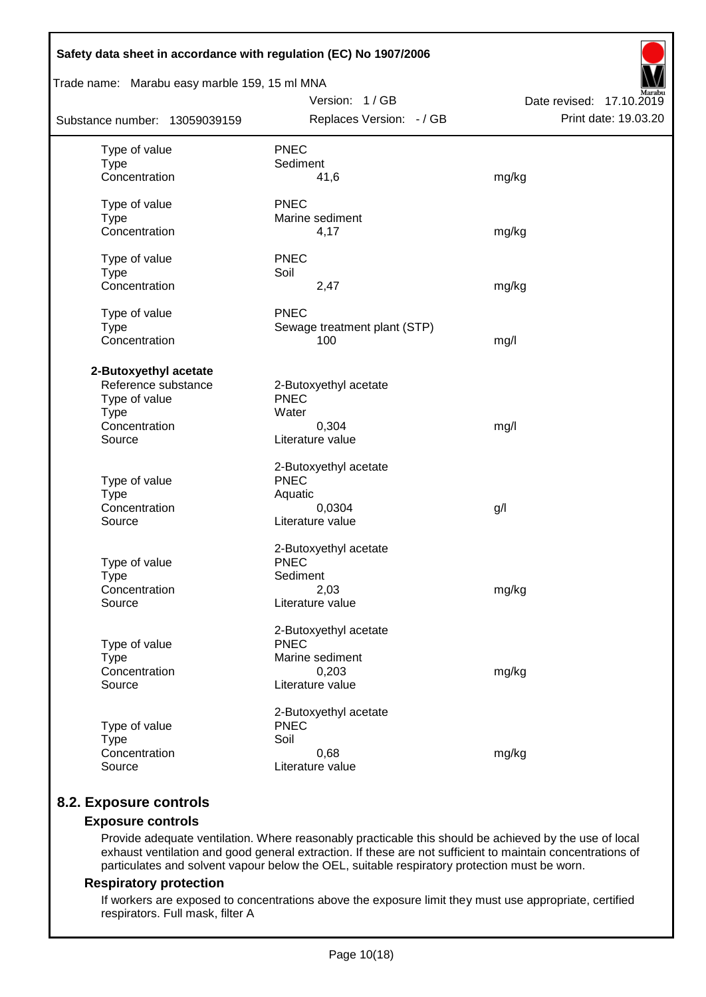| Safety data sheet in accordance with regulation (EC) No 1907/2006                                       |                                                                                      |                                                  |
|---------------------------------------------------------------------------------------------------------|--------------------------------------------------------------------------------------|--------------------------------------------------|
| Trade name: Marabu easy marble 159, 15 ml MNA                                                           |                                                                                      |                                                  |
| Substance number: 13059039159                                                                           | Version: 1/GB<br>Replaces Version: - / GB                                            | Date revised: 17.10.2019<br>Print date: 19.03.20 |
| Type of value<br><b>Type</b><br>Concentration                                                           | <b>PNEC</b><br>Sediment<br>41,6                                                      | mg/kg                                            |
| Type of value<br><b>Type</b><br>Concentration                                                           | <b>PNEC</b><br>Marine sediment<br>4,17                                               | mg/kg                                            |
| Type of value<br><b>Type</b><br>Concentration                                                           | <b>PNEC</b><br>Soil<br>2,47                                                          | mg/kg                                            |
| Type of value<br><b>Type</b><br>Concentration                                                           | <b>PNEC</b><br>Sewage treatment plant (STP)<br>100                                   | mg/l                                             |
| 2-Butoxyethyl acetate<br>Reference substance<br>Type of value<br><b>Type</b><br>Concentration<br>Source | 2-Butoxyethyl acetate<br><b>PNEC</b><br>Water<br>0,304<br>Literature value           | mg/l                                             |
| Type of value<br><b>Type</b><br>Concentration<br>Source                                                 | 2-Butoxyethyl acetate<br><b>PNEC</b><br>Aquatic<br>0,0304<br>Literature value        | g/l                                              |
| Type of value<br>Type<br>Concentration<br>Source                                                        | 2-Butoxyethyl acetate<br><b>PNEC</b><br>Sediment<br>2,03<br>Literature value         | mg/kg                                            |
| Type of value<br><b>Type</b><br>Concentration<br>Source                                                 | 2-Butoxyethyl acetate<br><b>PNEC</b><br>Marine sediment<br>0,203<br>Literature value | mg/kg                                            |
| Type of value<br><b>Type</b><br>Concentration<br>Source                                                 | 2-Butoxyethyl acetate<br><b>PNEC</b><br>Soil<br>0,68<br>Literature value             | mg/kg                                            |

# **8.2. Exposure controls**

## **Exposure controls**

Provide adequate ventilation. Where reasonably practicable this should be achieved by the use of local exhaust ventilation and good general extraction. If these are not sufficient to maintain concentrations of particulates and solvent vapour below the OEL, suitable respiratory protection must be worn.

#### **Respiratory protection**

If workers are exposed to concentrations above the exposure limit they must use appropriate, certified respirators. Full mask, filter A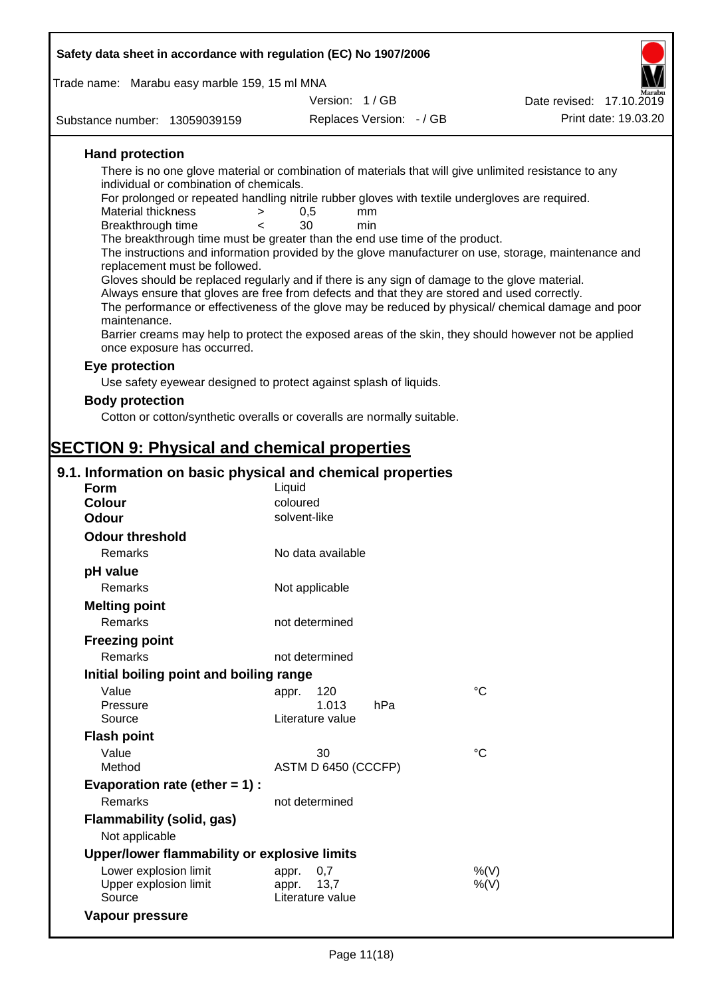| Safety data sheet in accordance with regulation (EC) No 1907/2006                                                                          |                          |                          |                                                                                                      |  |  |  |
|--------------------------------------------------------------------------------------------------------------------------------------------|--------------------------|--------------------------|------------------------------------------------------------------------------------------------------|--|--|--|
| Trade name: Marabu easy marble 159, 15 ml MNA                                                                                              |                          |                          |                                                                                                      |  |  |  |
|                                                                                                                                            | Version: 1/GB            |                          | Date revised: 17.10.2019                                                                             |  |  |  |
| Substance number: 13059039159                                                                                                              |                          | Replaces Version: - / GB | Print date: 19.03.20                                                                                 |  |  |  |
| <b>Hand protection</b>                                                                                                                     |                          |                          |                                                                                                      |  |  |  |
| There is no one glove material or combination of materials that will give unlimited resistance to any                                      |                          |                          |                                                                                                      |  |  |  |
| individual or combination of chemicals.<br>For prolonged or repeated handling nitrile rubber gloves with textile undergloves are required. |                          |                          |                                                                                                      |  |  |  |
| Material thickness                                                                                                                         | 0,5<br>$\, > \,$         | mm                       |                                                                                                      |  |  |  |
| Breakthrough time                                                                                                                          | 30<br>$\epsilon$         | min                      |                                                                                                      |  |  |  |
| The breakthrough time must be greater than the end use time of the product.                                                                |                          |                          | The instructions and information provided by the glove manufacturer on use, storage, maintenance and |  |  |  |
| replacement must be followed.                                                                                                              |                          |                          |                                                                                                      |  |  |  |
| Gloves should be replaced regularly and if there is any sign of damage to the glove material.                                              |                          |                          |                                                                                                      |  |  |  |
| Always ensure that gloves are free from defects and that they are stored and used correctly.                                               |                          |                          |                                                                                                      |  |  |  |
| maintenance.                                                                                                                               |                          |                          | The performance or effectiveness of the glove may be reduced by physical/ chemical damage and poor   |  |  |  |
|                                                                                                                                            |                          |                          | Barrier creams may help to protect the exposed areas of the skin, they should however not be applied |  |  |  |
| once exposure has occurred.                                                                                                                |                          |                          |                                                                                                      |  |  |  |
| Eye protection                                                                                                                             |                          |                          |                                                                                                      |  |  |  |
| Use safety eyewear designed to protect against splash of liquids.                                                                          |                          |                          |                                                                                                      |  |  |  |
| <b>Body protection</b>                                                                                                                     |                          |                          |                                                                                                      |  |  |  |
| Cotton or cotton/synthetic overalls or coveralls are normally suitable.                                                                    |                          |                          |                                                                                                      |  |  |  |
|                                                                                                                                            |                          |                          |                                                                                                      |  |  |  |
| <b>SECTION 9: Physical and chemical properties</b>                                                                                         |                          |                          |                                                                                                      |  |  |  |
| 9.1. Information on basic physical and chemical properties                                                                                 |                          |                          |                                                                                                      |  |  |  |
| <b>Form</b>                                                                                                                                | Liquid                   |                          |                                                                                                      |  |  |  |
| <b>Colour</b><br><b>Odour</b>                                                                                                              | coloured<br>solvent-like |                          |                                                                                                      |  |  |  |
| <b>Odour threshold</b>                                                                                                                     |                          |                          |                                                                                                      |  |  |  |
| Remarks                                                                                                                                    | No data available        |                          |                                                                                                      |  |  |  |
| pH value                                                                                                                                   |                          |                          |                                                                                                      |  |  |  |
| Remarks                                                                                                                                    | Not applicable           |                          |                                                                                                      |  |  |  |
| <b>Melting point</b>                                                                                                                       |                          |                          |                                                                                                      |  |  |  |
| Remarks                                                                                                                                    | not determined           |                          |                                                                                                      |  |  |  |
| <b>Freezing point</b>                                                                                                                      |                          |                          |                                                                                                      |  |  |  |
| Remarks                                                                                                                                    | not determined           |                          |                                                                                                      |  |  |  |
| Initial boiling point and boiling range                                                                                                    |                          |                          |                                                                                                      |  |  |  |
| Value                                                                                                                                      | 120<br>appr.             |                          | $\rm ^{\circ}C$                                                                                      |  |  |  |
| Pressure                                                                                                                                   | 1.013                    | hPa                      |                                                                                                      |  |  |  |
| Source                                                                                                                                     | Literature value         |                          |                                                                                                      |  |  |  |
| <b>Flash point</b>                                                                                                                         |                          |                          |                                                                                                      |  |  |  |
| Value<br>Method                                                                                                                            | 30                       |                          | $\rm ^{\circ}C$                                                                                      |  |  |  |
|                                                                                                                                            | ASTM D 6450 (CCCFP)      |                          |                                                                                                      |  |  |  |
| Evaporation rate (ether $= 1$ ) :<br>Remarks                                                                                               | not determined           |                          |                                                                                                      |  |  |  |
|                                                                                                                                            |                          |                          |                                                                                                      |  |  |  |
| <b>Flammability (solid, gas)</b><br>Not applicable                                                                                         |                          |                          |                                                                                                      |  |  |  |
| Upper/lower flammability or explosive limits                                                                                               |                          |                          |                                                                                                      |  |  |  |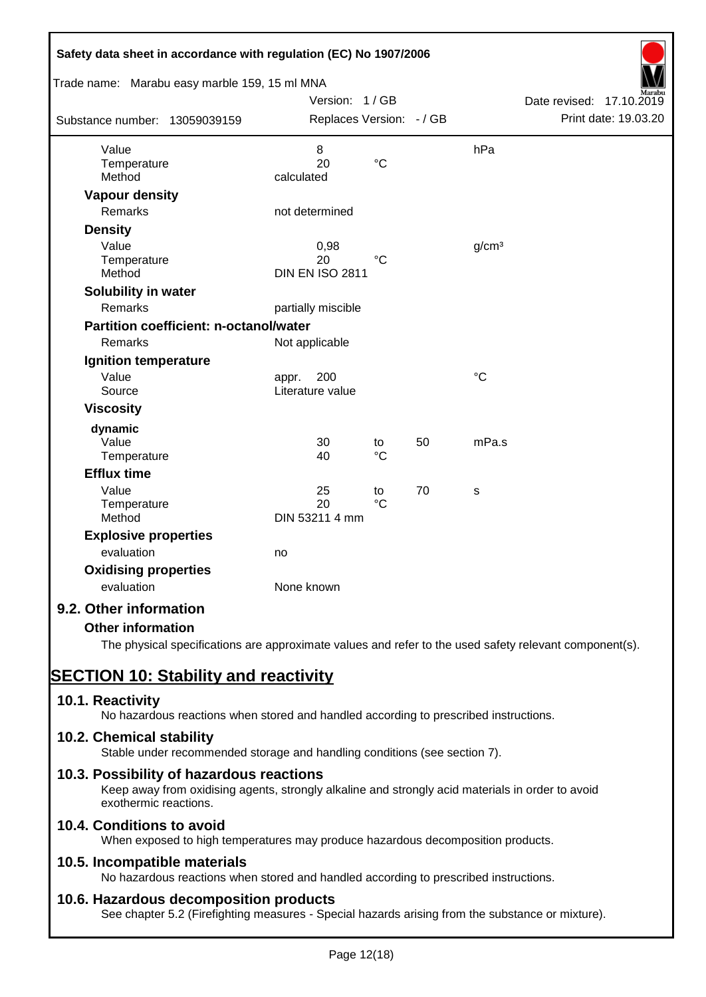| Safety data sheet in accordance with regulation (EC) No 1907/2006<br>Trade name: Marabu easy marble 159, 15 ml MNA |                          |                 |    |                   |                          |
|--------------------------------------------------------------------------------------------------------------------|--------------------------|-----------------|----|-------------------|--------------------------|
|                                                                                                                    | Version: 1/GB            |                 |    |                   | Date revised: 17.10.2019 |
| Substance number: 13059039159                                                                                      | Replaces Version: - / GB |                 |    |                   | Print date: 19.03.20     |
|                                                                                                                    |                          |                 |    |                   |                          |
| Value                                                                                                              | 8                        |                 |    | hPa               |                          |
| Temperature                                                                                                        | 20                       | $\rm ^{\circ}C$ |    |                   |                          |
| Method                                                                                                             | calculated               |                 |    |                   |                          |
| <b>Vapour density</b>                                                                                              |                          |                 |    |                   |                          |
| Remarks                                                                                                            | not determined           |                 |    |                   |                          |
| <b>Density</b>                                                                                                     |                          |                 |    |                   |                          |
| Value                                                                                                              | 0,98                     |                 |    | g/cm <sup>3</sup> |                          |
| Temperature                                                                                                        | 20                       | $\rm ^{\circ}C$ |    |                   |                          |
| Method                                                                                                             | <b>DIN EN ISO 2811</b>   |                 |    |                   |                          |
| Solubility in water                                                                                                |                          |                 |    |                   |                          |
| Remarks                                                                                                            | partially miscible       |                 |    |                   |                          |
| <b>Partition coefficient: n-octanol/water</b>                                                                      |                          |                 |    |                   |                          |
| Remarks                                                                                                            | Not applicable           |                 |    |                   |                          |
| Ignition temperature                                                                                               |                          |                 |    |                   |                          |
| Value                                                                                                              | 200<br>appr.             |                 |    | $\rm ^{\circ}C$   |                          |
| Source                                                                                                             | Literature value         |                 |    |                   |                          |
| <b>Viscosity</b>                                                                                                   |                          |                 |    |                   |                          |
| dynamic                                                                                                            |                          |                 |    |                   |                          |
| Value                                                                                                              | 30                       | to              | 50 | mPa.s             |                          |
| Temperature                                                                                                        | 40                       | $\rm ^{\circ}C$ |    |                   |                          |
| <b>Efflux time</b>                                                                                                 |                          |                 |    |                   |                          |
| Value                                                                                                              | 25                       | to              | 70 | s                 |                          |
| Temperature                                                                                                        | 20                       | $\rm ^{\circ}C$ |    |                   |                          |
| Method                                                                                                             | DIN 53211 4 mm           |                 |    |                   |                          |
| <b>Explosive properties</b>                                                                                        |                          |                 |    |                   |                          |
| evaluation                                                                                                         | no                       |                 |    |                   |                          |
| <b>Oxidising properties</b>                                                                                        |                          |                 |    |                   |                          |
| evaluation                                                                                                         | None known               |                 |    |                   |                          |
| 9.2. Other information                                                                                             |                          |                 |    |                   |                          |
| <b>Other information</b>                                                                                           |                          |                 |    |                   |                          |

The physical specifications are approximate values and refer to the used safety relevant component(s).

# **SECTION 10: Stability and reactivity**

# **10.1. Reactivity**

No hazardous reactions when stored and handled according to prescribed instructions.

# **10.2. Chemical stability**

Stable under recommended storage and handling conditions (see section 7).

# **10.3. Possibility of hazardous reactions**

Keep away from oxidising agents, strongly alkaline and strongly acid materials in order to avoid exothermic reactions.

# **10.4. Conditions to avoid**

When exposed to high temperatures may produce hazardous decomposition products.

# **10.5. Incompatible materials**

No hazardous reactions when stored and handled according to prescribed instructions.

# **10.6. Hazardous decomposition products**

See chapter 5.2 (Firefighting measures - Special hazards arising from the substance or mixture).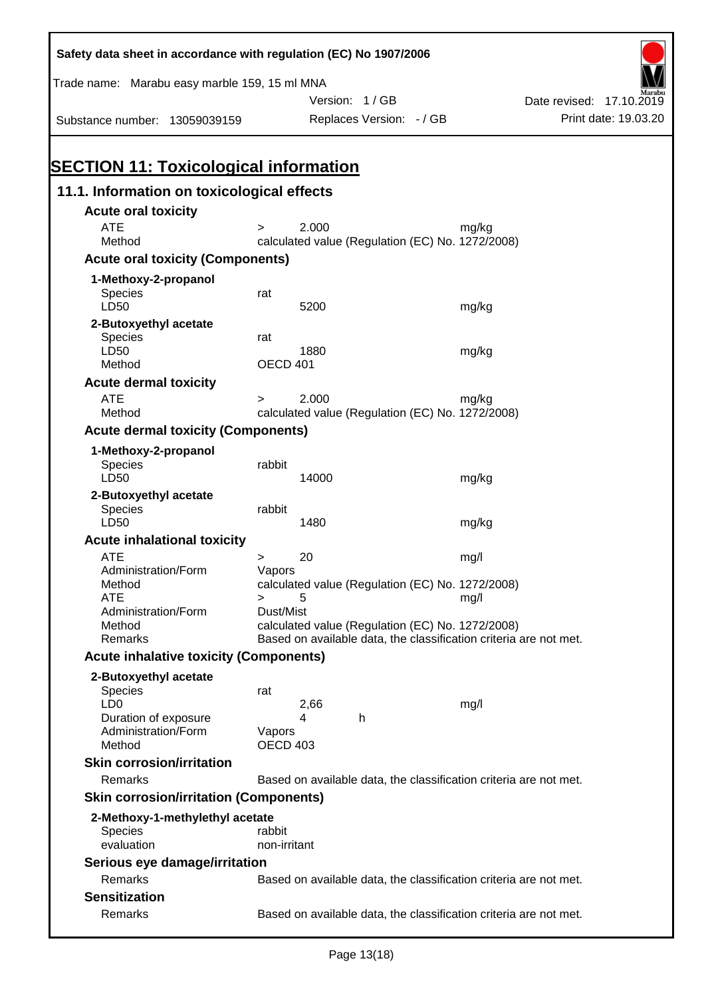| Safety data sheet in accordance with regulation (EC) No 1907/2006 |                                                                                                                       |                                                                   |       |                          |                      |
|-------------------------------------------------------------------|-----------------------------------------------------------------------------------------------------------------------|-------------------------------------------------------------------|-------|--------------------------|----------------------|
| Trade name: Marabu easy marble 159, 15 ml MNA                     |                                                                                                                       |                                                                   |       |                          |                      |
|                                                                   |                                                                                                                       | Version: 1/GB                                                     |       | Date revised: 17.10.2019 |                      |
| Substance number: 13059039159                                     |                                                                                                                       | Replaces Version: - / GB                                          |       |                          | Print date: 19.03.20 |
| <b>SECTION 11: Toxicological information</b>                      |                                                                                                                       |                                                                   |       |                          |                      |
| 11.1. Information on toxicological effects                        |                                                                                                                       |                                                                   |       |                          |                      |
| <b>Acute oral toxicity</b>                                        |                                                                                                                       |                                                                   |       |                          |                      |
| <b>ATE</b><br>Method                                              | $\geq$                                                                                                                | 2.000<br>calculated value (Regulation (EC) No. 1272/2008)         | mg/kg |                          |                      |
| <b>Acute oral toxicity (Components)</b>                           |                                                                                                                       |                                                                   |       |                          |                      |
| 1-Methoxy-2-propanol                                              |                                                                                                                       |                                                                   |       |                          |                      |
| <b>Species</b>                                                    | rat                                                                                                                   |                                                                   |       |                          |                      |
| LD50                                                              |                                                                                                                       | 5200                                                              | mg/kg |                          |                      |
| 2-Butoxyethyl acetate                                             |                                                                                                                       |                                                                   |       |                          |                      |
| <b>Species</b>                                                    | rat                                                                                                                   |                                                                   |       |                          |                      |
| LD50<br>Method                                                    | OECD 401                                                                                                              | 1880                                                              | mg/kg |                          |                      |
| <b>Acute dermal toxicity</b>                                      |                                                                                                                       |                                                                   |       |                          |                      |
| <b>ATE</b>                                                        | $\geq$                                                                                                                | 2.000                                                             | mg/kg |                          |                      |
| Method                                                            |                                                                                                                       | calculated value (Regulation (EC) No. 1272/2008)                  |       |                          |                      |
| <b>Acute dermal toxicity (Components)</b>                         |                                                                                                                       |                                                                   |       |                          |                      |
| 1-Methoxy-2-propanol<br><b>Species</b><br>LD50                    | rabbit                                                                                                                | 14000                                                             |       |                          |                      |
|                                                                   |                                                                                                                       |                                                                   | mg/kg |                          |                      |
| 2-Butoxyethyl acetate<br>Species<br>LD50                          | rabbit                                                                                                                | 1480                                                              | mg/kg |                          |                      |
| <b>Acute inhalational toxicity</b>                                |                                                                                                                       |                                                                   |       |                          |                      |
| <b>ATE</b>                                                        | >                                                                                                                     | 20                                                                | mg/l  |                          |                      |
| Administration/Form                                               | Vapors                                                                                                                |                                                                   |       |                          |                      |
| Method<br><b>ATE</b>                                              | $\geq$                                                                                                                | calculated value (Regulation (EC) No. 1272/2008)<br>5             | mg/l  |                          |                      |
| Administration/Form                                               | Dust/Mist                                                                                                             |                                                                   |       |                          |                      |
| Method<br>Remarks                                                 | calculated value (Regulation (EC) No. 1272/2008)<br>Based on available data, the classification criteria are not met. |                                                                   |       |                          |                      |
| <b>Acute inhalative toxicity (Components)</b>                     |                                                                                                                       |                                                                   |       |                          |                      |
|                                                                   |                                                                                                                       |                                                                   |       |                          |                      |
| 2-Butoxyethyl acetate<br><b>Species</b>                           | rat                                                                                                                   |                                                                   |       |                          |                      |
| LD <sub>0</sub>                                                   |                                                                                                                       | 2,66                                                              | mg/l  |                          |                      |
| Duration of exposure                                              |                                                                                                                       | 4<br>h                                                            |       |                          |                      |
| Administration/Form<br>Method                                     | Vapors<br><b>OECD 403</b>                                                                                             |                                                                   |       |                          |                      |
| <b>Skin corrosion/irritation</b>                                  |                                                                                                                       |                                                                   |       |                          |                      |
| Remarks                                                           |                                                                                                                       | Based on available data, the classification criteria are not met. |       |                          |                      |
| <b>Skin corrosion/irritation (Components)</b>                     |                                                                                                                       |                                                                   |       |                          |                      |
|                                                                   |                                                                                                                       |                                                                   |       |                          |                      |
| 2-Methoxy-1-methylethyl acetate<br><b>Species</b>                 | rabbit                                                                                                                |                                                                   |       |                          |                      |
| evaluation                                                        | non-irritant                                                                                                          |                                                                   |       |                          |                      |
| Serious eye damage/irritation                                     |                                                                                                                       |                                                                   |       |                          |                      |
| Remarks                                                           |                                                                                                                       | Based on available data, the classification criteria are not met. |       |                          |                      |
| <b>Sensitization</b>                                              |                                                                                                                       |                                                                   |       |                          |                      |
| Remarks                                                           |                                                                                                                       | Based on available data, the classification criteria are not met. |       |                          |                      |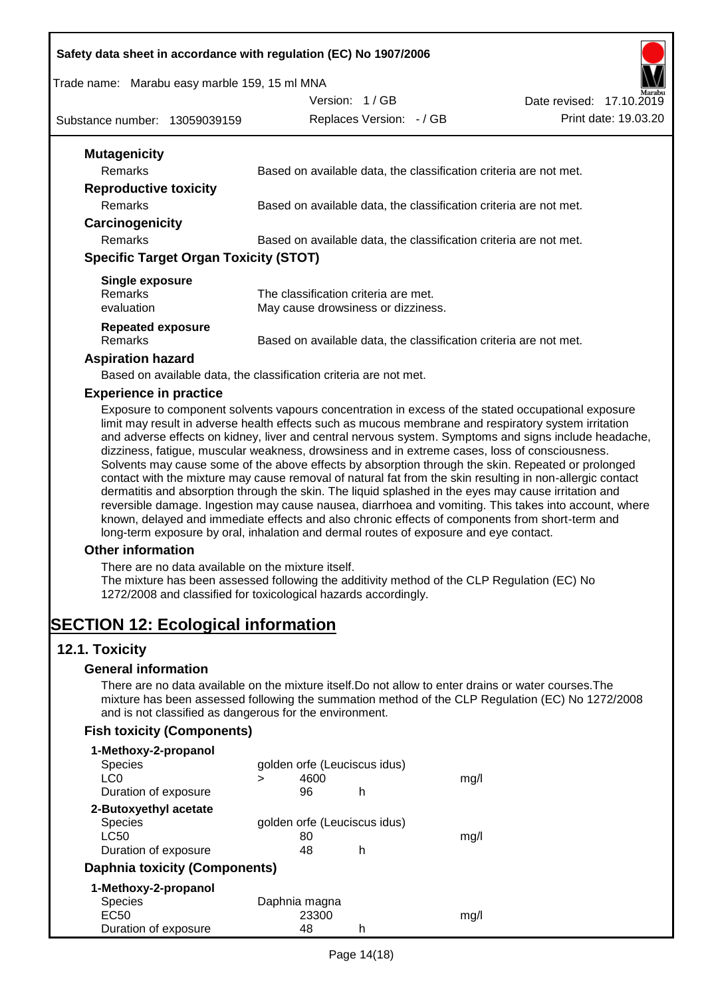#### **Safety data sheet in accordance with regulation (EC) No 1907/2006**

#### Trade name: Marabu easy marble 159, 15 ml MNA

Substance number: 13059039159

Version: 1 / GB Replaces Version: - / GB

| Date revised: 17.10.2019 | Marabu               |
|--------------------------|----------------------|
|                          | Print date: 19.03.20 |

| <b>Mutagenicity</b>                          |                                                                   |
|----------------------------------------------|-------------------------------------------------------------------|
| Remarks                                      | Based on available data, the classification criteria are not met. |
| <b>Reproductive toxicity</b>                 |                                                                   |
| Remarks                                      | Based on available data, the classification criteria are not met. |
| Carcinogenicity                              |                                                                   |
| Remarks                                      | Based on available data, the classification criteria are not met. |
| <b>Specific Target Organ Toxicity (STOT)</b> |                                                                   |
| Single exposure                              |                                                                   |
| <b>Remarks</b>                               | The classification criteria are met.                              |
| evaluation                                   | May cause drowsiness or dizziness.                                |
| <b>Repeated exposure</b>                     |                                                                   |
| Remarks                                      | Based on available data, the classification criteria are not met. |
|                                              |                                                                   |

#### **Aspiration hazard**

Based on available data, the classification criteria are not met.

#### **Experience in practice**

Exposure to component solvents vapours concentration in excess of the stated occupational exposure limit may result in adverse health effects such as mucous membrane and respiratory system irritation and adverse effects on kidney, liver and central nervous system. Symptoms and signs include headache, dizziness, fatigue, muscular weakness, drowsiness and in extreme cases, loss of consciousness. Solvents may cause some of the above effects by absorption through the skin. Repeated or prolonged contact with the mixture may cause removal of natural fat from the skin resulting in non-allergic contact dermatitis and absorption through the skin. The liquid splashed in the eyes may cause irritation and reversible damage. Ingestion may cause nausea, diarrhoea and vomiting. This takes into account, where known, delayed and immediate effects and also chronic effects of components from short-term and long-term exposure by oral, inhalation and dermal routes of exposure and eye contact.

#### **Other information**

There are no data available on the mixture itself.

The mixture has been assessed following the additivity method of the CLP Regulation (EC) No 1272/2008 and classified for toxicological hazards accordingly.

# **SECTION 12: Ecological information**

#### **12.1. Toxicity**

#### **General information**

There are no data available on the mixture itself.Do not allow to enter drains or water courses.The mixture has been assessed following the summation method of the CLP Regulation (EC) No 1272/2008 and is not classified as dangerous for the environment.

#### **Fish toxicity (Components)**

| 1-Methoxy-2-propanol          |   |               |                              |      |
|-------------------------------|---|---------------|------------------------------|------|
| <b>Species</b>                |   |               | golden orfe (Leuciscus idus) |      |
| LC0                           | > | 4600          |                              | mq/l |
| Duration of exposure          |   | 96            | h                            |      |
| 2-Butoxyethyl acetate         |   |               |                              |      |
| <b>Species</b>                |   |               | golden orfe (Leuciscus idus) |      |
| LC50                          |   | 80            |                              | mq/l |
| Duration of exposure          |   | 48            | h                            |      |
| Daphnia toxicity (Components) |   |               |                              |      |
| 1-Methoxy-2-propanol          |   |               |                              |      |
| <b>Species</b>                |   | Daphnia magna |                              |      |
| EC <sub>50</sub>              |   | 23300         |                              | mq/l |
| Duration of exposure          |   | 48            | h                            |      |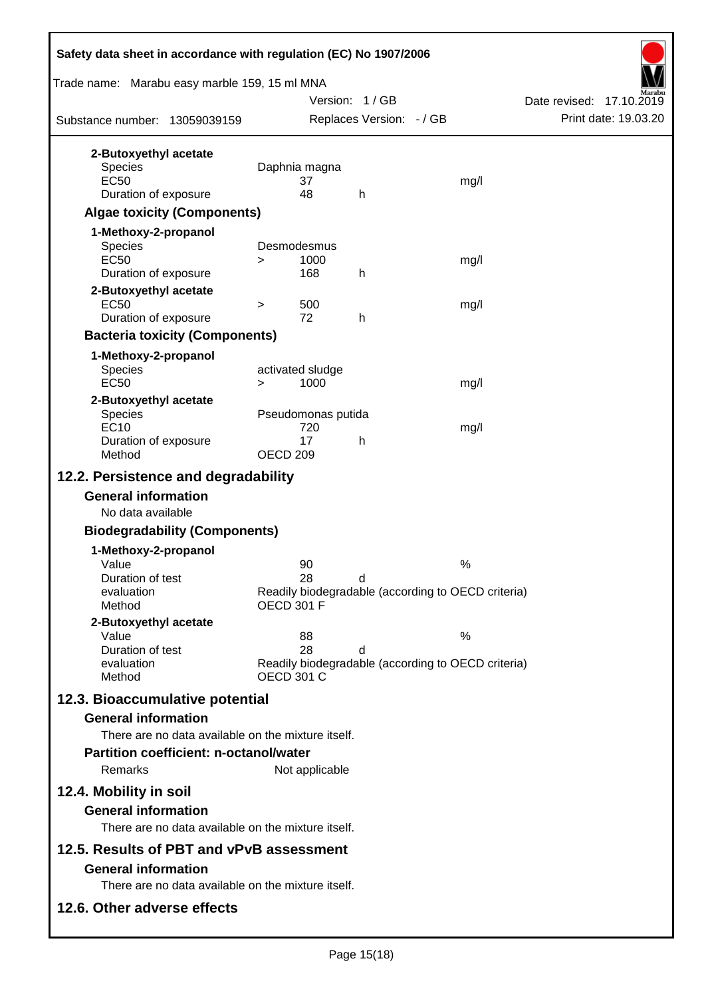| Safety data sheet in accordance with regulation (EC) No 1907/2006                                                            |                     |                                 |                          |  |                                                            |  |
|------------------------------------------------------------------------------------------------------------------------------|---------------------|---------------------------------|--------------------------|--|------------------------------------------------------------|--|
| Trade name: Marabu easy marble 159, 15 ml MNA                                                                                |                     |                                 | Version: 1/GB            |  | Date revised: 17.10.2019                                   |  |
| Substance number: 13059039159                                                                                                |                     |                                 | Replaces Version: - / GB |  | Print date: 19.03.20                                       |  |
| 2-Butoxyethyl acetate<br><b>Species</b><br><b>EC50</b><br>Duration of exposure<br><b>Algae toxicity (Components)</b>         |                     | Daphnia magna<br>37<br>48       | h                        |  | mg/l                                                       |  |
| 1-Methoxy-2-propanol<br><b>Species</b><br><b>EC50</b><br>Duration of exposure                                                | $\geq$              | Desmodesmus<br>1000<br>168      | h                        |  | mg/l                                                       |  |
| 2-Butoxyethyl acetate<br><b>EC50</b><br>Duration of exposure                                                                 | $\geq$              | 500<br>72                       | h                        |  | mg/l                                                       |  |
| <b>Bacteria toxicity (Components)</b><br>1-Methoxy-2-propanol<br>Species<br><b>EC50</b>                                      | $\geq$              | activated sludge<br>1000        |                          |  | mg/l                                                       |  |
| 2-Butoxyethyl acetate<br><b>Species</b><br><b>EC10</b><br>Duration of exposure<br>Method                                     | OECD <sub>209</sub> | Pseudomonas putida<br>720<br>17 | h                        |  | mg/l                                                       |  |
| 12.2. Persistence and degradability                                                                                          |                     |                                 |                          |  |                                                            |  |
| <b>General information</b><br>No data available                                                                              |                     |                                 |                          |  |                                                            |  |
| <b>Biodegradability (Components)</b>                                                                                         |                     |                                 |                          |  |                                                            |  |
| 1-Methoxy-2-propanol<br>Value<br>Duration of test<br>evaluation<br>Method                                                    | <b>OECD 301 F</b>   | 90<br>28                        | d                        |  | $\%$<br>Readily biodegradable (according to OECD criteria) |  |
| 2-Butoxyethyl acetate<br>Value<br>Duration of test<br>evaluation<br>Method                                                   |                     | 88<br>28<br><b>OECD 301 C</b>   | d                        |  | $\%$<br>Readily biodegradable (according to OECD criteria) |  |
| 12.3. Bioaccumulative potential<br><b>General information</b><br>There are no data available on the mixture itself.          |                     |                                 |                          |  |                                                            |  |
| <b>Partition coefficient: n-octanol/water</b><br>Remarks                                                                     |                     | Not applicable                  |                          |  |                                                            |  |
| 12.4. Mobility in soil<br><b>General information</b><br>There are no data available on the mixture itself.                   |                     |                                 |                          |  |                                                            |  |
| 12.5. Results of PBT and vPvB assessment<br><b>General information</b><br>There are no data available on the mixture itself. |                     |                                 |                          |  |                                                            |  |
| 12.6. Other adverse effects                                                                                                  |                     |                                 |                          |  |                                                            |  |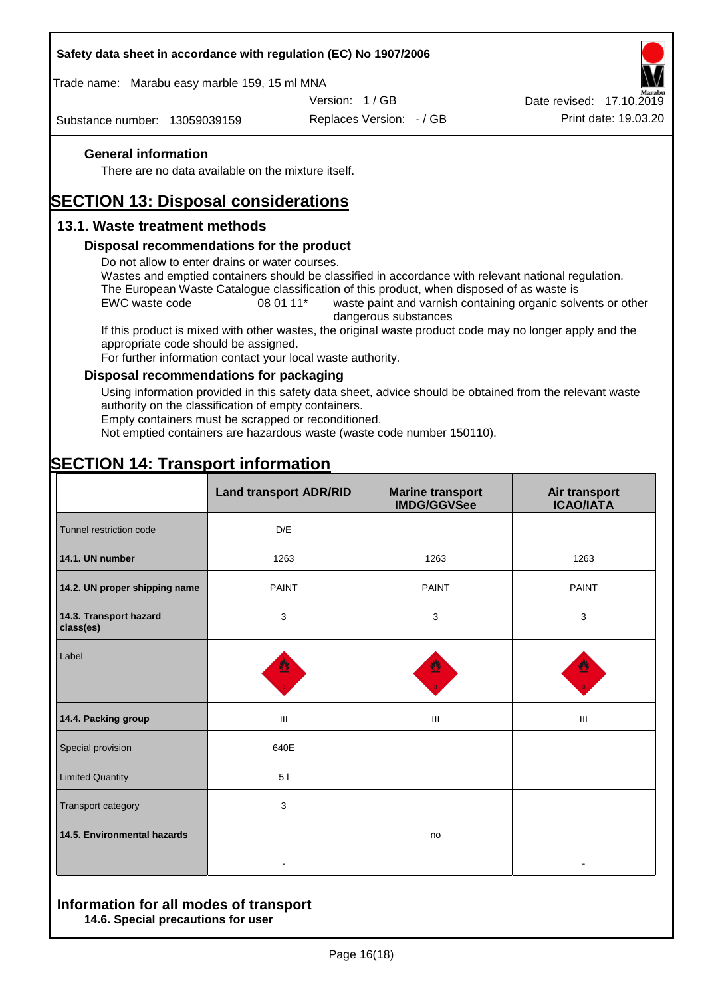#### **Safety data sheet in accordance with regulation (EC) No 1907/2006**

Trade name: Marabu easy marble 159, 15 ml MNA

Version: 1 / GB

Substance number: 13059039159

Replaces Version: - / GB Print date: 19.03.20 Date revised: 17.10.2019

#### **General information**

There are no data available on the mixture itself.

# **SECTION 13: Disposal considerations**

### **13.1. Waste treatment methods**

#### **Disposal recommendations for the product**

Do not allow to enter drains or water courses.

Wastes and emptied containers should be classified in accordance with relevant national regulation. The European Waste Catalogue classification of this product, when disposed of as waste is

EWC waste code 08 01 11<sup>\*</sup> waste paint and varnish containing organic solvents or other dangerous substances

If this product is mixed with other wastes, the original waste product code may no longer apply and the appropriate code should be assigned.

For further information contact your local waste authority.

#### **Disposal recommendations for packaging**

Using information provided in this safety data sheet, advice should be obtained from the relevant waste authority on the classification of empty containers.

Empty containers must be scrapped or reconditioned.

Not emptied containers are hazardous waste (waste code number 150110).

|                                     | <b>Land transport ADR/RID</b> | <b>Marine transport</b><br><b>IMDG/GGVSee</b> | Air transport<br><b>ICAO/IATA</b> |
|-------------------------------------|-------------------------------|-----------------------------------------------|-----------------------------------|
| Tunnel restriction code             | D/E                           |                                               |                                   |
| 14.1. UN number                     | 1263                          | 1263                                          | 1263                              |
| 14.2. UN proper shipping name       | <b>PAINT</b>                  | <b>PAINT</b>                                  | <b>PAINT</b>                      |
| 14.3. Transport hazard<br>class(es) | 3                             | 3                                             | 3                                 |
| Label                               |                               |                                               |                                   |
| 14.4. Packing group                 | Ш                             | Ш                                             | Ш                                 |
| Special provision                   | 640E                          |                                               |                                   |
| <b>Limited Quantity</b>             | 51                            |                                               |                                   |
| Transport category                  | 3                             |                                               |                                   |
| 14.5. Environmental hazards         |                               | no                                            |                                   |

# **SECTION 14: Transport information**

#### **Information for all modes of transport 14.6. Special precautions for user**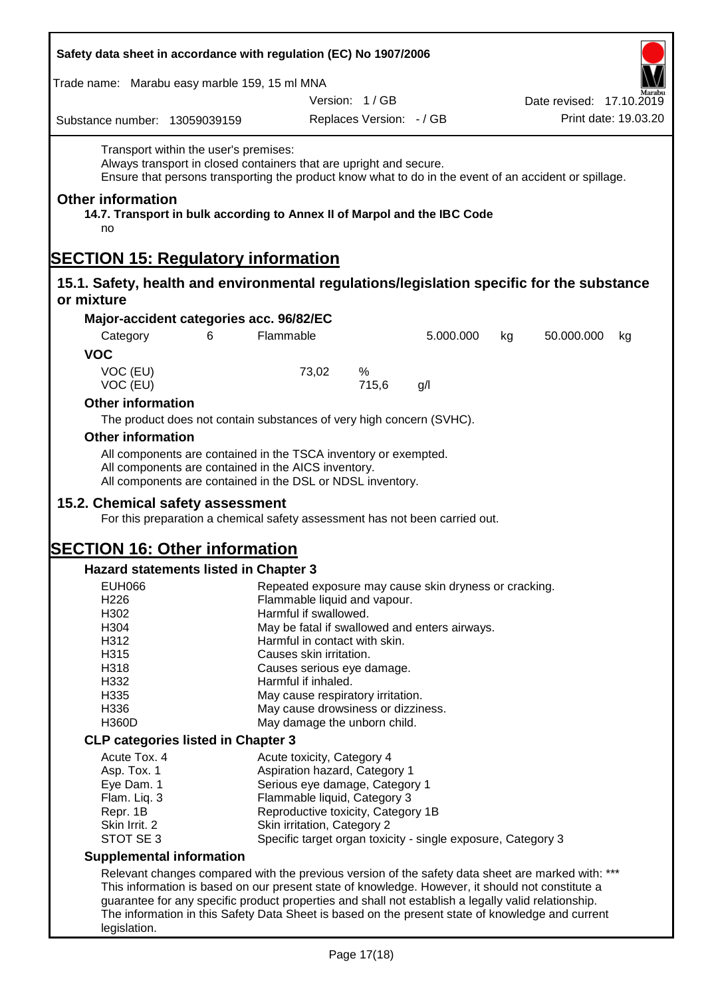| Safety data sheet in accordance with regulation (EC) No 1907/2006                                                                                                                                                    |                                                                         |                          |           |    |                          |  |
|----------------------------------------------------------------------------------------------------------------------------------------------------------------------------------------------------------------------|-------------------------------------------------------------------------|--------------------------|-----------|----|--------------------------|--|
| Trade name: Marabu easy marble 159, 15 ml MNA                                                                                                                                                                        |                                                                         |                          |           |    |                          |  |
|                                                                                                                                                                                                                      |                                                                         | Version: 1/GB            |           |    | Date revised: 17.10.2019 |  |
| Substance number: 13059039159                                                                                                                                                                                        |                                                                         | Replaces Version: - / GB |           |    | Print date: 19.03.20     |  |
| Transport within the user's premises:<br>Always transport in closed containers that are upright and secure.<br>Ensure that persons transporting the product know what to do in the event of an accident or spillage. |                                                                         |                          |           |    |                          |  |
| <b>Other information</b><br>14.7. Transport in bulk according to Annex II of Marpol and the IBC Code<br>no                                                                                                           |                                                                         |                          |           |    |                          |  |
| <b>SECTION 15: Regulatory information</b>                                                                                                                                                                            |                                                                         |                          |           |    |                          |  |
| 15.1. Safety, health and environmental regulations/legislation specific for the substance<br>or mixture                                                                                                              |                                                                         |                          |           |    |                          |  |
| Major-accident categories acc. 96/82/EC                                                                                                                                                                              |                                                                         |                          |           |    |                          |  |
| 6<br>Category                                                                                                                                                                                                        | Flammable                                                               |                          | 5.000.000 | kg | 50.000.000<br>kg         |  |
| <b>VOC</b>                                                                                                                                                                                                           |                                                                         |                          |           |    |                          |  |
| VOC (EU)                                                                                                                                                                                                             | 73,02                                                                   | %                        |           |    |                          |  |
| VOC (EU)                                                                                                                                                                                                             |                                                                         | 715,6                    | g/l       |    |                          |  |
| <b>Other information</b><br>The product does not contain substances of very high concern (SVHC).                                                                                                                     |                                                                         |                          |           |    |                          |  |
| <b>Other information</b>                                                                                                                                                                                             |                                                                         |                          |           |    |                          |  |
| All components are contained in the TSCA inventory or exempted.                                                                                                                                                      |                                                                         |                          |           |    |                          |  |
| All components are contained in the AICS inventory.<br>All components are contained in the DSL or NDSL inventory.                                                                                                    |                                                                         |                          |           |    |                          |  |
| 15.2. Chemical safety assessment<br>For this preparation a chemical safety assessment has not been carried out.                                                                                                      |                                                                         |                          |           |    |                          |  |
| <b>SECTION 16: Other information</b>                                                                                                                                                                                 |                                                                         |                          |           |    |                          |  |
| <b>Hazard statements listed in Chapter 3</b>                                                                                                                                                                         |                                                                         |                          |           |    |                          |  |
| <b>EUH066</b>                                                                                                                                                                                                        | Repeated exposure may cause skin dryness or cracking.                   |                          |           |    |                          |  |
| H226                                                                                                                                                                                                                 | Flammable liquid and vapour.                                            |                          |           |    |                          |  |
| H302                                                                                                                                                                                                                 | Harmful if swallowed.                                                   |                          |           |    |                          |  |
| H304                                                                                                                                                                                                                 | May be fatal if swallowed and enters airways.                           |                          |           |    |                          |  |
| H312                                                                                                                                                                                                                 | Harmful in contact with skin.                                           |                          |           |    |                          |  |
| H315                                                                                                                                                                                                                 | Causes skin irritation.                                                 |                          |           |    |                          |  |
| H332                                                                                                                                                                                                                 | H318<br>Causes serious eye damage.                                      |                          |           |    |                          |  |
| H335                                                                                                                                                                                                                 | Harmful if inhaled.                                                     |                          |           |    |                          |  |
| H336                                                                                                                                                                                                                 | May cause respiratory irritation.<br>May cause drowsiness or dizziness. |                          |           |    |                          |  |
| <b>H360D</b>                                                                                                                                                                                                         | May damage the unborn child.                                            |                          |           |    |                          |  |
| <b>CLP categories listed in Chapter 3</b>                                                                                                                                                                            |                                                                         |                          |           |    |                          |  |
| Acute Tox. 4                                                                                                                                                                                                         | Acute toxicity, Category 4                                              |                          |           |    |                          |  |
| Asp. Tox. 1                                                                                                                                                                                                          | Aspiration hazard, Category 1                                           |                          |           |    |                          |  |
| Eye Dam. 1                                                                                                                                                                                                           | Serious eye damage, Category 1                                          |                          |           |    |                          |  |
| Flam. Liq. 3                                                                                                                                                                                                         | Flammable liquid, Category 3                                            |                          |           |    |                          |  |
| Repr. 1B                                                                                                                                                                                                             | Reproductive toxicity, Category 1B                                      |                          |           |    |                          |  |
| Skin Irrit. 2                                                                                                                                                                                                        | Skin irritation, Category 2                                             |                          |           |    |                          |  |
| STOT SE 3                                                                                                                                                                                                            | Specific target organ toxicity - single exposure, Category 3            |                          |           |    |                          |  |
| <b>Supplemental information</b>                                                                                                                                                                                      |                                                                         |                          |           |    |                          |  |
| Relevant changes compared with the previous version of the safety data sheet are marked with: ***                                                                                                                    |                                                                         |                          |           |    |                          |  |
| This information is based on our present state of knowledge. However, it should not constitute a                                                                                                                     |                                                                         |                          |           |    |                          |  |
| guarantee for any specific product properties and shall not establish a legally valid relationship.                                                                                                                  |                                                                         |                          |           |    |                          |  |
| The information in this Safety Data Sheet is based on the present state of knowledge and current                                                                                                                     |                                                                         |                          |           |    |                          |  |
| legislation.                                                                                                                                                                                                         |                                                                         |                          |           |    |                          |  |